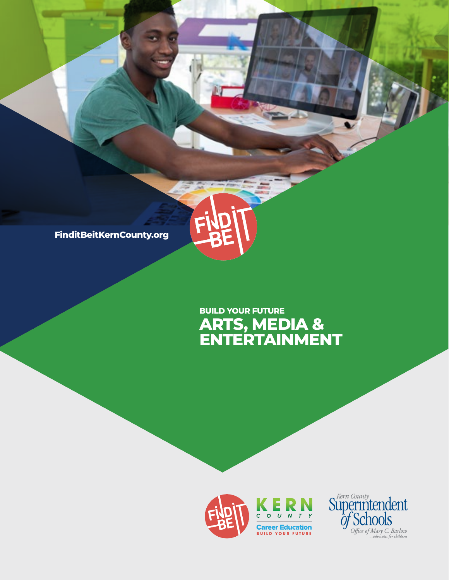**FinditBeitKernCounty.org**

## **ARTS, MEDIA & ENTERTAINMENT BUILD YOUR FUTURE**